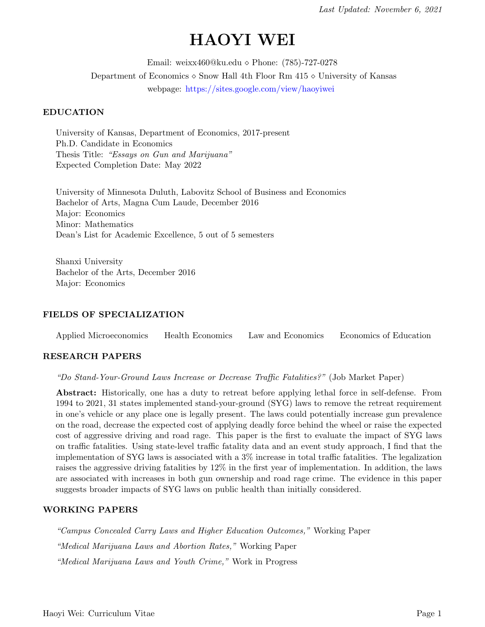# HAOYI WEI

Email: weixx460@ku.edu Phone: (785)-727-0278 Department of Economics  $\Diamond$  Snow Hall 4th Floor Rm 415  $\Diamond$  University of Kansas webpage: <https://sites.google.com/view/haoyiwei>

#### EDUCATION

University of Kansas, Department of Economics, 2017-present Ph.D. Candidate in Economics Thesis Title: "Essays on Gun and Marijuana" Expected Completion Date: May 2022

University of Minnesota Duluth, Labovitz School of Business and Economics Bachelor of Arts, Magna Cum Laude, December 2016 Major: Economics Minor: Mathematics Dean's List for Academic Excellence, 5 out of 5 semesters

Shanxi University Bachelor of the Arts, December 2016 Major: Economics

### FIELDS OF SPECIALIZATION

Applied Microeconomics Health Economics Law and Economics Economics of Education

#### RESEARCH PAPERS

"Do Stand-Your-Ground Laws Increase or Decrease Traffic Fatalities?" (Job Market Paper)

Abstract: Historically, one has a duty to retreat before applying lethal force in self-defense. From 1994 to 2021, 31 states implemented stand-your-ground (SYG) laws to remove the retreat requirement in one's vehicle or any place one is legally present. The laws could potentially increase gun prevalence on the road, decrease the expected cost of applying deadly force behind the wheel or raise the expected cost of aggressive driving and road rage. This paper is the first to evaluate the impact of SYG laws on traffic fatalities. Using state-level traffic fatality data and an event study approach, I find that the implementation of SYG laws is associated with a 3% increase in total traffic fatalities. The legalization raises the aggressive driving fatalities by 12% in the first year of implementation. In addition, the laws are associated with increases in both gun ownership and road rage crime. The evidence in this paper suggests broader impacts of SYG laws on public health than initially considered.

### WORKING PAPERS

"Campus Concealed Carry Laws and Higher Education Outcomes," Working Paper "Medical Marijuana Laws and Abortion Rates," Working Paper "Medical Marijuana Laws and Youth Crime," Work in Progress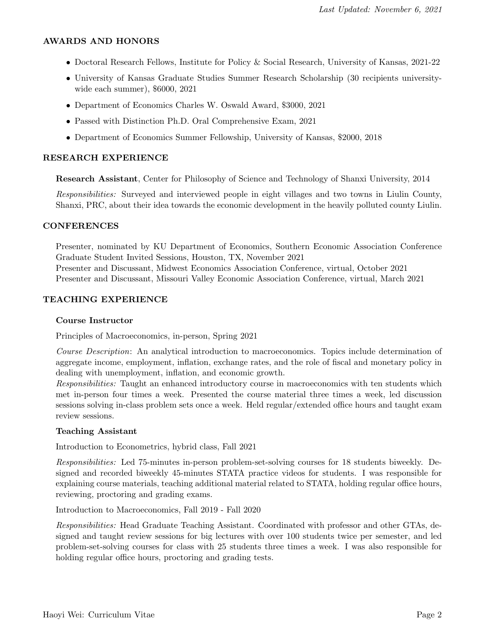### AWARDS AND HONORS

- Doctoral Research Fellows, Institute for Policy & Social Research, University of Kansas, 2021-22
- University of Kansas Graduate Studies Summer Research Scholarship (30 recipients universitywide each summer), \$6000, 2021
- Department of Economics Charles W. Oswald Award, \$3000, 2021
- Passed with Distinction Ph.D. Oral Comprehensive Exam, 2021
- Department of Economics Summer Fellowship, University of Kansas, \$2000, 2018

### RESEARCH EXPERIENCE

Research Assistant, Center for Philosophy of Science and Technology of Shanxi University, 2014

Responsibilities: Surveyed and interviewed people in eight villages and two towns in Liulin County, Shanxi, PRC, about their idea towards the economic development in the heavily polluted county Liulin.

### CONFERENCES

Presenter, nominated by KU Department of Economics, Southern Economic Association Conference Graduate Student Invited Sessions, Houston, TX, November 2021 Presenter and Discussant, Midwest Economics Association Conference, virtual, October 2021 Presenter and Discussant, Missouri Valley Economic Association Conference, virtual, March 2021

# TEACHING EXPERIENCE

### Course Instructor

Principles of Macroeconomics, in-person, Spring 2021

Course Description: An analytical introduction to macroeconomics. Topics include determination of aggregate income, employment, inflation, exchange rates, and the role of fiscal and monetary policy in dealing with unemployment, inflation, and economic growth.

Responsibilities: Taught an enhanced introductory course in macroeconomics with ten students which met in-person four times a week. Presented the course material three times a week, led discussion sessions solving in-class problem sets once a week. Held regular/extended office hours and taught exam review sessions.

### Teaching Assistant

Introduction to Econometrics, hybrid class, Fall 2021

Responsibilities: Led 75-minutes in-person problem-set-solving courses for 18 students biweekly. Designed and recorded biweekly 45-minutes STATA practice videos for students. I was responsible for explaining course materials, teaching additional material related to STATA, holding regular office hours, reviewing, proctoring and grading exams.

Introduction to Macroeconomics, Fall 2019 - Fall 2020

Responsibilities: Head Graduate Teaching Assistant. Coordinated with professor and other GTAs, designed and taught review sessions for big lectures with over 100 students twice per semester, and led problem-set-solving courses for class with 25 students three times a week. I was also responsible for holding regular office hours, proctoring and grading tests.